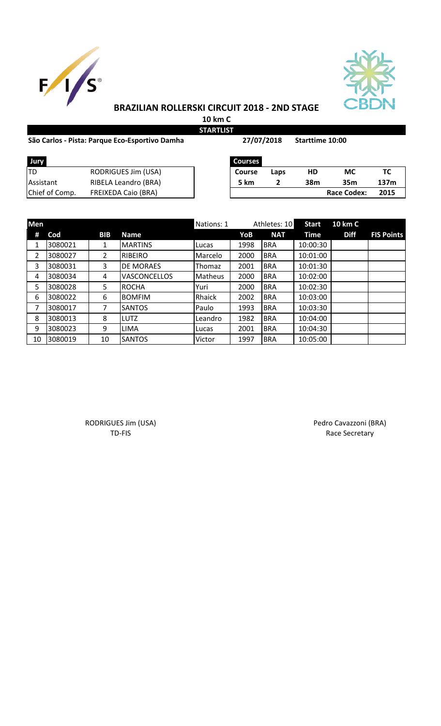



## **BRAZILIAN ROLLERSKI CIRCUIT 2018 - 2ND STAGE**

**10 km C STARTLIST**

#### São Carlos - Pista: Parque Eco-Esportivo Damha **Sanda 27/07/2018** Starttime 10:00

**27/07/2018**

| Jury           |                            | <b>Courses</b> |      |     |                    |     |
|----------------|----------------------------|----------------|------|-----|--------------------|-----|
| ltd            | RODRIGUES Jim (USA)        | <b>Course</b>  | Laps | HD  | МC                 | тс  |
| Assistant      | RIBELA Leandro (BRA)       | 5 km           |      | 38m | 35m                | 137 |
| Chief of Comp. | <b>FREIXEDA Caio (BRA)</b> |                |      |     | <b>Race Codex:</b> | 201 |

| Jury           |                            | Courses       |      |     |                    |      |
|----------------|----------------------------|---------------|------|-----|--------------------|------|
| TD             | RODRIGUES Jim (USA)        | <b>Course</b> | Laps | HD  | МC                 |      |
| Assistant      | RIBELA Leandro (BRA)       | <b>5 km</b>   |      | 38m | 35m                | 137m |
| Chief of Comp. | <b>FREIXEDA Caio (BRA)</b> |               |      |     | <b>Race Codex:</b> | 2015 |

| Men |         |            |                     | Nations: 1 |      | Athletes: 10 | <b>Start</b> | 10 km C     |                   |
|-----|---------|------------|---------------------|------------|------|--------------|--------------|-------------|-------------------|
| #   | Cod     | <b>BIB</b> | <b>Name</b>         |            | YoB  | <b>NAT</b>   | Time         | <b>Diff</b> | <b>FIS Points</b> |
| 1   | 3080021 | 1          | <b>MARTINS</b>      | Lucas      | 1998 | <b>BRA</b>   | 10:00:30     |             |                   |
| 2   | 3080027 | 2          | <b>RIBEIRO</b>      | Marcelo    | 2000 | <b>BRA</b>   | 10:01:00     |             |                   |
| 3   | 3080031 | 3          | <b>DE MORAES</b>    | Thomaz     | 2001 | <b>BRA</b>   | 10:01:30     |             |                   |
| 4   | 3080034 | 4          | <b>VASCONCELLOS</b> | Matheus    | 2000 | <b>BRA</b>   | 10:02:00     |             |                   |
| 5   | 3080028 | 5          | <b>ROCHA</b>        | Yuri       | 2000 | <b>BRA</b>   | 10:02:30     |             |                   |
| 6   | 3080022 | 6          | <b>BOMFIM</b>       | Rhaick     | 2002 | <b>BRA</b>   | 10:03:00     |             |                   |
| 7   | 3080017 | 7          | <b>SANTOS</b>       | Paulo      | 1993 | <b>BRA</b>   | 10:03:30     |             |                   |
| 8   | 3080013 | 8          | <b>LUTZ</b>         | Leandro    | 1982 | <b>BRA</b>   | 10:04:00     |             |                   |
| 9   | 3080023 | 9          | <b>LIMA</b>         | Lucas      | 2001 | <b>BRA</b>   | 10:04:30     |             |                   |
| 10  | 3080019 | 10         | <b>SANTOS</b>       | Victor     | 1997 | <b>BRA</b>   | 10:05:00     |             |                   |

RODRIGUES Jim (USA) **Pedro Cavazzoni (BRA)** Pedro Cavazzoni (BRA)

TD-FIS Race Secretary